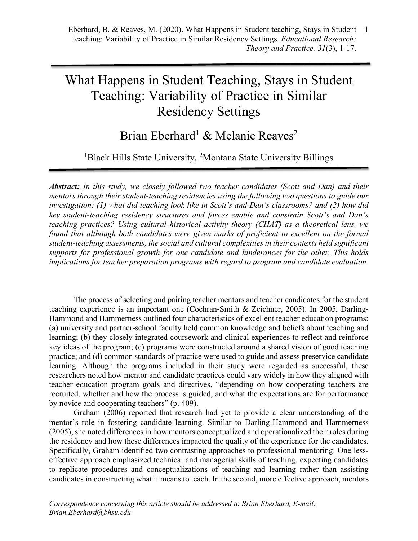# What Happens in Student Teaching, Stays in Student Teaching: Variability of Practice in Similar Residency Settings

# Brian Eberhard<sup>1</sup> & Melanie Reaves<sup>2</sup>

<sup>1</sup>Black Hills State University, <sup>2</sup>Montana State University Billings

*Abstract: In this study, we closely followed two teacher candidates (Scott and Dan) and their mentors through their student-teaching residencies using the following two questions to guide our investigation: (1) what did teaching look like in Scott's and Dan's classrooms? and (2) how did key student-teaching residency structures and forces enable and constrain Scott's and Dan's teaching practices? Using cultural historical activity theory (CHAT) as a theoretical lens, we found that although both candidates were given marks of proficient to excellent on the formal student-teaching assessments, the social and cultural complexities in their contexts held significant supports for professional growth for one candidate and hinderances for the other. This holds implications for teacher preparation programs with regard to program and candidate evaluation.*

The process of selecting and pairing teacher mentors and teacher candidates for the student teaching experience is an important one (Cochran-Smith & Zeichner, 2005). In 2005, Darling-Hammond and Hammerness outlined four characteristics of excellent teacher education programs: (a) university and partner-school faculty held common knowledge and beliefs about teaching and learning; (b) they closely integrated coursework and clinical experiences to reflect and reinforce key ideas of the program; (c) programs were constructed around a shared vision of good teaching practice; and (d) common standards of practice were used to guide and assess preservice candidate learning. Although the programs included in their study were regarded as successful, these researchers noted how mentor and candidate practices could vary widely in how they aligned with teacher education program goals and directives, "depending on how cooperating teachers are recruited, whether and how the process is guided, and what the expectations are for performance by novice and cooperating teachers" (p. 409).

Graham (2006) reported that research had yet to provide a clear understanding of the mentor's role in fostering candidate learning. Similar to Darling-Hammond and Hammerness (2005), she noted differences in how mentors conceptualized and operationalized their roles during the residency and how these differences impacted the quality of the experience for the candidates. Specifically, Graham identified two contrasting approaches to professional mentoring. One lesseffective approach emphasized technical and managerial skills of teaching, expecting candidates to replicate procedures and conceptualizations of teaching and learning rather than assisting candidates in constructing what it means to teach. In the second, more effective approach, mentors

*Correspondence concerning this article should be addressed to Brian Eberhard, E-mail: Brian.Eberhard@bhsu.edu*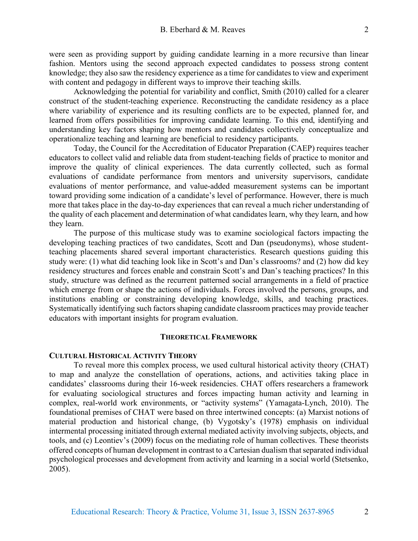were seen as providing support by guiding candidate learning in a more recursive than linear fashion. Mentors using the second approach expected candidates to possess strong content knowledge; they also saw the residency experience as a time for candidates to view and experiment with content and pedagogy in different ways to improve their teaching skills.

Acknowledging the potential for variability and conflict, Smith (2010) called for a clearer construct of the student-teaching experience. Reconstructing the candidate residency as a place where variability of experience and its resulting conflicts are to be expected, planned for, and learned from offers possibilities for improving candidate learning. To this end, identifying and understanding key factors shaping how mentors and candidates collectively conceptualize and operationalize teaching and learning are beneficial to residency participants.

Today, the Council for the Accreditation of Educator Preparation (CAEP) requires teacher educators to collect valid and reliable data from student-teaching fields of practice to monitor and improve the quality of clinical experiences. The data currently collected, such as formal evaluations of candidate performance from mentors and university supervisors, candidate evaluations of mentor performance, and value-added measurement systems can be important toward providing some indication of a candidate's level of performance. However, there is much more that takes place in the day-to-day experiences that can reveal a much richer understanding of the quality of each placement and determination of what candidates learn, why they learn, and how they learn.

The purpose of this multicase study was to examine sociological factors impacting the developing teaching practices of two candidates, Scott and Dan (pseudonyms), whose studentteaching placements shared several important characteristics. Research questions guiding this study were: (1) what did teaching look like in Scott's and Dan's classrooms? and (2) how did key residency structures and forces enable and constrain Scott's and Dan's teaching practices? In this study, structure was defined as the recurrent patterned social arrangements in a field of practice which emerge from or shape the actions of individuals. Forces involved the persons, groups, and institutions enabling or constraining developing knowledge, skills, and teaching practices. Systematically identifying such factors shaping candidate classroom practices may provide teacher educators with important insights for program evaluation.

#### **THEORETICAL FRAMEWORK**

#### **CULTURAL HISTORICAL ACTIVITY THEORY**

To reveal more this complex process, we used cultural historical activity theory (CHAT) to map and analyze the constellation of operations, actions, and activities taking place in candidates' classrooms during their 16-week residencies. CHAT offers researchers a framework for evaluating sociological structures and forces impacting human activity and learning in complex, real-world work environments, or "activity systems" (Yamagata-Lynch, 2010). The foundational premises of CHAT were based on three intertwined concepts: (a) Marxist notions of material production and historical change, (b) Vygotsky's (1978) emphasis on individual intermental processing initiated through external mediated activity involving subjects, objects, and tools, and (c) Leontiev's (2009) focus on the mediating role of human collectives. These theorists offered concepts of human development in contrast to a Cartesian dualism that separated individual psychological processes and development from activity and learning in a social world (Stetsenko, 2005).

2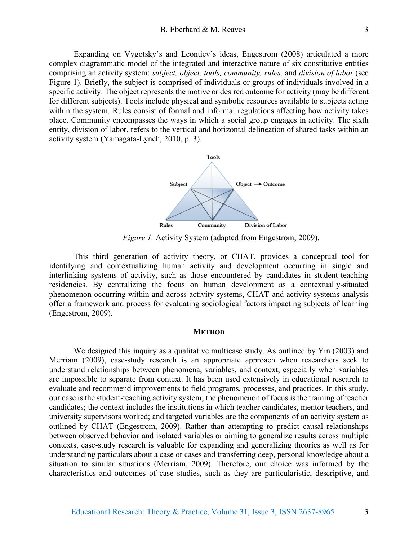Expanding on Vygotsky's and Leontiev's ideas, Engestrom (2008) articulated a more complex diagrammatic model of the integrated and interactive nature of six constitutive entities comprising an activity system: *subject, object, tools, community, rules,* and *division of labor* (see Figure 1). Briefly, the subject is comprised of individuals or groups of individuals involved in a specific activity. The object represents the motive or desired outcome for activity (may be different for different subjects). Tools include physical and symbolic resources available to subjects acting within the system. Rules consist of formal and informal regulations affecting how activity takes place. Community encompasses the ways in which a social group engages in activity. The sixth entity, division of labor, refers to the vertical and horizontal delineation of shared tasks within an activity system (Yamagata-Lynch, 2010, p. 3).



*Figure 1.* Activity System (adapted from Engestrom, 2009).

This third generation of activity theory, or CHAT, provides a conceptual tool for identifying and contextualizing human activity and development occurring in single and interlinking systems of activity, such as those encountered by candidates in student-teaching residencies. By centralizing the focus on human development as a contextually-situated phenomenon occurring within and across activity systems, CHAT and activity systems analysis offer a framework and process for evaluating sociological factors impacting subjects of learning (Engestrom, 2009).

#### **METHOD**

We designed this inquiry as a qualitative multicase study. As outlined by Yin (2003) and Merriam (2009), case-study research is an appropriate approach when researchers seek to understand relationships between phenomena, variables, and context, especially when variables are impossible to separate from context. It has been used extensively in educational research to evaluate and recommend improvements to field programs, processes, and practices. In this study, our case is the student-teaching activity system; the phenomenon of focus is the training of teacher candidates; the context includes the institutions in which teacher candidates, mentor teachers, and university supervisors worked; and targeted variables are the components of an activity system as outlined by CHAT (Engestrom, 2009). Rather than attempting to predict causal relationships between observed behavior and isolated variables or aiming to generalize results across multiple contexts, case-study research is valuable for expanding and generalizing theories as well as for understanding particulars about a case or cases and transferring deep, personal knowledge about a situation to similar situations (Merriam, 2009). Therefore, our choice was informed by the characteristics and outcomes of case studies, such as they are particularistic, descriptive, and

3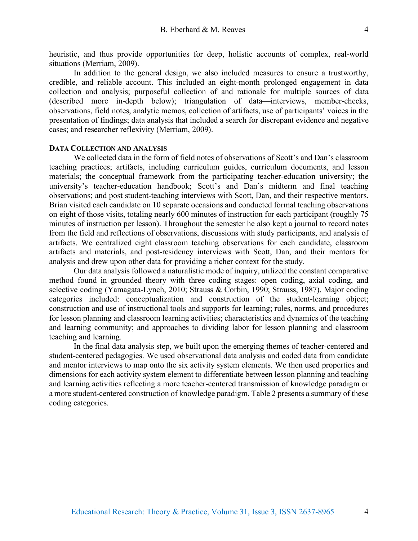heuristic, and thus provide opportunities for deep, holistic accounts of complex, real-world situations (Merriam, 2009).

In addition to the general design, we also included measures to ensure a trustworthy, credible, and reliable account. This included an eight-month prolonged engagement in data collection and analysis; purposeful collection of and rationale for multiple sources of data (described more in-depth below); triangulation of data—interviews, member-checks, observations, field notes, analytic memos, collection of artifacts, use of participants' voices in the presentation of findings; data analysis that included a search for discrepant evidence and negative cases; and researcher reflexivity (Merriam, 2009).

### **DATA COLLECTION AND ANALYSIS**

We collected data in the form of field notes of observations of Scott's and Dan's classroom teaching practices; artifacts, including curriculum guides, curriculum documents, and lesson materials; the conceptual framework from the participating teacher-education university; the university's teacher-education handbook; Scott's and Dan's midterm and final teaching observations; and post student-teaching interviews with Scott, Dan, and their respective mentors. Brian visited each candidate on 10 separate occasions and conducted formal teaching observations on eight of those visits, totaling nearly 600 minutes of instruction for each participant (roughly 75 minutes of instruction per lesson). Throughout the semester he also kept a journal to record notes from the field and reflections of observations, discussions with study participants, and analysis of artifacts. We centralized eight classroom teaching observations for each candidate, classroom artifacts and materials, and post-residency interviews with Scott, Dan, and their mentors for analysis and drew upon other data for providing a richer context for the study.

Our data analysis followed a naturalistic mode of inquiry, utilized the constant comparative method found in grounded theory with three coding stages: open coding, axial coding, and selective coding (Yamagata-Lynch, 2010; Strauss & Corbin, 1990; Strauss, 1987). Major coding categories included: conceptualization and construction of the student-learning object; construction and use of instructional tools and supports for learning; rules, norms, and procedures for lesson planning and classroom learning activities; characteristics and dynamics of the teaching and learning community; and approaches to dividing labor for lesson planning and classroom teaching and learning.

In the final data analysis step, we built upon the emerging themes of teacher-centered and student-centered pedagogies. We used observational data analysis and coded data from candidate and mentor interviews to map onto the six activity system elements. We then used properties and dimensions for each activity system element to differentiate between lesson planning and teaching and learning activities reflecting a more teacher-centered transmission of knowledge paradigm or a more student-centered construction of knowledge paradigm. Table 2 presents a summary of these coding categories.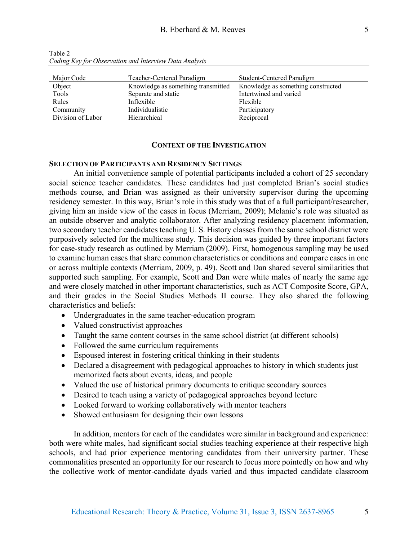| Major Code        | Teacher-Centered Paradigm          | Student-Centered Paradigm          |
|-------------------|------------------------------------|------------------------------------|
| Object            | Knowledge as something transmitted | Knowledge as something constructed |
| Tools             | Separate and static                | Intertwined and varied             |
| Rules             | Inflexible                         | Flexible                           |
| Community         | Individualistic                    | Participatory                      |
| Division of Labor | Hierarchical                       | Reciprocal                         |

Table 2 *Coding Key for Observation and Interview Data Analysis*

## **CONTEXT OF THE INVESTIGATION**

## **SELECTION OF PARTICIPANTS AND RESIDENCY SETTINGS**

An initial convenience sample of potential participants included a cohort of 25 secondary social science teacher candidates. These candidates had just completed Brian's social studies methods course, and Brian was assigned as their university supervisor during the upcoming residency semester. In this way, Brian's role in this study was that of a full participant/researcher, giving him an inside view of the cases in focus (Merriam, 2009); Melanie's role was situated as an outside observer and analytic collaborator. After analyzing residency placement information, two secondary teacher candidates teaching U. S. History classes from the same school district were purposively selected for the multicase study. This decision was guided by three important factors for case-study research as outlined by Merriam (2009). First, homogenous sampling may be used to examine human cases that share common characteristics or conditions and compare cases in one or across multiple contexts (Merriam, 2009, p. 49). Scott and Dan shared several similarities that supported such sampling. For example, Scott and Dan were white males of nearly the same age and were closely matched in other important characteristics, such as ACT Composite Score, GPA, and their grades in the Social Studies Methods II course. They also shared the following characteristics and beliefs:

- Undergraduates in the same teacher-education program
- Valued constructivist approaches
- Taught the same content courses in the same school district (at different schools)
- Followed the same curriculum requirements
- Espoused interest in fostering critical thinking in their students
- Declared a disagreement with pedagogical approaches to history in which students just memorized facts about events, ideas, and people
- Valued the use of historical primary documents to critique secondary sources
- Desired to teach using a variety of pedagogical approaches beyond lecture
- Looked forward to working collaboratively with mentor teachers
- Showed enthusiasm for designing their own lessons

In addition, mentors for each of the candidates were similar in background and experience: both were white males, had significant social studies teaching experience at their respective high schools, and had prior experience mentoring candidates from their university partner. These commonalities presented an opportunity for our research to focus more pointedly on how and why the collective work of mentor-candidate dyads varied and thus impacted candidate classroom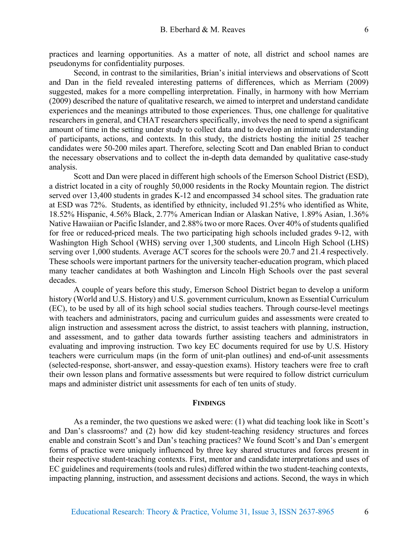practices and learning opportunities. As a matter of note, all district and school names are pseudonyms for confidentiality purposes.

Second, in contrast to the similarities, Brian's initial interviews and observations of Scott and Dan in the field revealed interesting patterns of differences, which as Merriam (2009) suggested, makes for a more compelling interpretation. Finally, in harmony with how Merriam (2009) described the nature of qualitative research, we aimed to interpret and understand candidate experiences and the meanings attributed to those experiences. Thus, one challenge for qualitative researchers in general, and CHAT researchers specifically, involves the need to spend a significant amount of time in the setting under study to collect data and to develop an intimate understanding of participants, actions, and contexts. In this study, the districts hosting the initial 25 teacher candidates were 50-200 miles apart. Therefore, selecting Scott and Dan enabled Brian to conduct the necessary observations and to collect the in-depth data demanded by qualitative case-study analysis.

Scott and Dan were placed in different high schools of the Emerson School District (ESD), a district located in a city of roughly 50,000 residents in the Rocky Mountain region. The district served over 13,400 students in grades K-12 and encompassed 34 school sites. The graduation rate at ESD was 72%. Students, as identified by ethnicity, included 91.25% who identified as White, 18.52% Hispanic, 4.56% Black, 2.77% American Indian or Alaskan Native, 1.89% Asian, 1.36% Native Hawaiian or Pacific Islander, and 2.88% two or more Races. Over 40% of students qualified for free or reduced-priced meals. The two participating high schools included grades 9-12, with Washington High School (WHS) serving over 1,300 students, and Lincoln High School (LHS) serving over 1,000 students. Average ACT scores for the schools were 20.7 and 21.4 respectively. These schools were important partners for the university teacher-education program, which placed many teacher candidates at both Washington and Lincoln High Schools over the past several decades.

A couple of years before this study, Emerson School District began to develop a uniform history (World and U.S. History) and U.S. government curriculum, known as Essential Curriculum (EC), to be used by all of its high school social studies teachers. Through course-level meetings with teachers and administrators, pacing and curriculum guides and assessments were created to align instruction and assessment across the district, to assist teachers with planning, instruction, and assessment, and to gather data towards further assisting teachers and administrators in evaluating and improving instruction. Two key EC documents required for use by U.S. History teachers were curriculum maps (in the form of unit-plan outlines) and end-of-unit assessments (selected-response, short-answer, and essay-question exams). History teachers were free to craft their own lesson plans and formative assessments but were required to follow district curriculum maps and administer district unit assessments for each of ten units of study.

#### **FINDINGS**

As a reminder, the two questions we asked were: (1) what did teaching look like in Scott's and Dan's classrooms? and (2) how did key student-teaching residency structures and forces enable and constrain Scott's and Dan's teaching practices? We found Scott's and Dan's emergent forms of practice were uniquely influenced by three key shared structures and forces present in their respective student-teaching contexts. First, mentor and candidate interpretations and uses of EC guidelines and requirements(tools and rules) differed within the two student-teaching contexts, impacting planning, instruction, and assessment decisions and actions. Second, the ways in which

6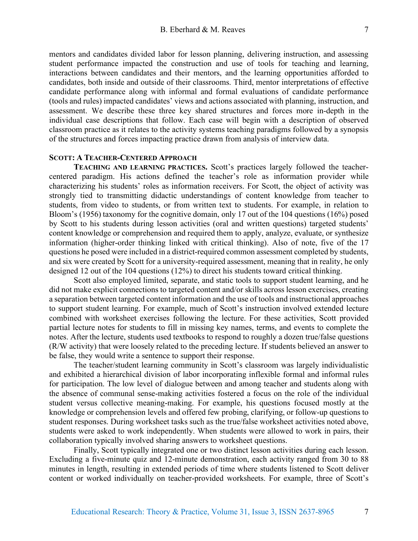mentors and candidates divided labor for lesson planning, delivering instruction, and assessing student performance impacted the construction and use of tools for teaching and learning, interactions between candidates and their mentors, and the learning opportunities afforded to candidates, both inside and outside of their classrooms. Third, mentor interpretations of effective candidate performance along with informal and formal evaluations of candidate performance (tools and rules) impacted candidates' views and actions associated with planning, instruction, and assessment. We describe these three key shared structures and forces more in-depth in the individual case descriptions that follow. Each case will begin with a description of observed classroom practice as it relates to the activity systems teaching paradigms followed by a synopsis of the structures and forces impacting practice drawn from analysis of interview data.

# **SCOTT: A TEACHER-CENTERED APPROACH**

**TEACHING AND LEARNING PRACTICES.** Scott's practices largely followed the teachercentered paradigm. His actions defined the teacher's role as information provider while characterizing his students' roles as information receivers. For Scott, the object of activity was strongly tied to transmitting didactic understandings of content knowledge from teacher to students, from video to students, or from written text to students. For example, in relation to Bloom's (1956) taxonomy for the cognitive domain, only 17 out of the 104 questions (16%) posed by Scott to his students during lesson activities (oral and written questions) targeted students' content knowledge or comprehension and required them to apply, analyze, evaluate, or synthesize information (higher-order thinking linked with critical thinking). Also of note, five of the 17 questions he posed were included in a district-required common assessment completed by students, and six were created by Scott for a university-required assessment, meaning that in reality, he only designed 12 out of the 104 questions (12%) to direct his students toward critical thinking.

Scott also employed limited, separate, and static tools to support student learning, and he did not make explicit connections to targeted content and/or skills across lesson exercises, creating a separation between targeted content information and the use of tools and instructional approaches to support student learning. For example, much of Scott's instruction involved extended lecture combined with worksheet exercises following the lecture. For these activities, Scott provided partial lecture notes for students to fill in missing key names, terms, and events to complete the notes. After the lecture, students used textbooks to respond to roughly a dozen true/false questions (R/W activity) that were loosely related to the preceding lecture. If students believed an answer to be false, they would write a sentence to support their response.

The teacher/student learning community in Scott's classroom was largely individualistic and exhibited a hierarchical division of labor incorporating inflexible formal and informal rules for participation. The low level of dialogue between and among teacher and students along with the absence of communal sense-making activities fostered a focus on the role of the individual student versus collective meaning-making. For example, his questions focused mostly at the knowledge or comprehension levels and offered few probing, clarifying, or follow-up questions to student responses. During worksheet tasks such as the true/false worksheet activities noted above, students were asked to work independently. When students were allowed to work in pairs, their collaboration typically involved sharing answers to worksheet questions.

Finally, Scott typically integrated one or two distinct lesson activities during each lesson. Excluding a five-minute quiz and 12-minute demonstration, each activity ranged from 30 to 88 minutes in length, resulting in extended periods of time where students listened to Scott deliver content or worked individually on teacher-provided worksheets. For example, three of Scott's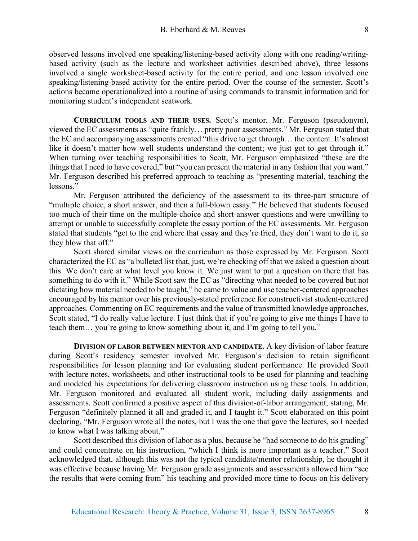observed lessons involved one speaking/listening-based activity along with one reading/writingbased activity (such as the lecture and worksheet activities described above), three lessons involved a single worksheet-based activity for the entire period, and one lesson involved one speaking/listening-based activity for the entire period. Over the course of the semester, Scott's actions became operationalized into a routine of using commands to transmit information and for monitoring student's independent seatwork.

**CURRICULUM TOOLS AND THEIR USES.** Scott's mentor, Mr. Ferguson (pseudonym), viewed the EC assessments as "quite frankly… pretty poor assessments." Mr. Ferguson stated that the EC and accompanying assessments created "this drive to get through… the content. It's almost like it doesn't matter how well students understand the content; we just got to get through it." When turning over teaching responsibilities to Scott, Mr. Ferguson emphasized "these are the things that I need to have covered," but "you can present the material in any fashion that you want." Mr. Ferguson described his preferred approach to teaching as "presenting material, teaching the lessons<sup>"</sup>

Mr. Ferguson attributed the deficiency of the assessment to its three-part structure of "multiple choice, a short answer, and then a full-blown essay." He believed that students focused too much of their time on the multiple-choice and short-answer questions and were unwilling to attempt or unable to successfully complete the essay portion of the EC assessments. Mr. Ferguson stated that students "get to the end where that essay and they're fried, they don't want to do it, so they blow that off."

Scott shared similar views on the curriculum as those expressed by Mr. Ferguson. Scott characterized the EC as "a bulleted list that, just, we're checking off that we asked a question about this. We don't care at what level you know it. We just want to put a question on there that has something to do with it." While Scott saw the EC as "directing what needed to be covered but not dictating how material needed to be taught," he came to value and use teacher-centered approaches encouraged by his mentor over his previously-stated preference for constructivist student-centered approaches. Commenting on EC requirements and the value of transmitted knowledge approaches, Scott stated, "I do really value lecture. I just think that if you're going to give me things I have to teach them… you're going to know something about it, and I'm going to tell you."

**DIVISION OF LABOR BETWEEN MENTOR AND CANDIDATE.** A key division-of-labor feature during Scott's residency semester involved Mr. Ferguson's decision to retain significant responsibilities for lesson planning and for evaluating student performance. He provided Scott with lecture notes, worksheets, and other instructional tools to be used for planning and teaching and modeled his expectations for delivering classroom instruction using these tools. In addition, Mr. Ferguson monitored and evaluated all student work, including daily assignments and assessments. Scott confirmed a positive aspect of this division-of-labor arrangement, stating, Mr. Ferguson "definitely planned it all and graded it, and I taught it." Scott elaborated on this point declaring, "Mr. Ferguson wrote all the notes, but I was the one that gave the lectures, so I needed to know what I was talking about."

Scott described this division of labor as a plus, because he "had someone to do his grading" and could concentrate on his instruction, "which I think is more important as a teacher." Scott acknowledged that, although this was not the typical candidate/mentor relationship, he thought it was effective because having Mr. Ferguson grade assignments and assessments allowed him "see the results that were coming from" his teaching and provided more time to focus on his delivery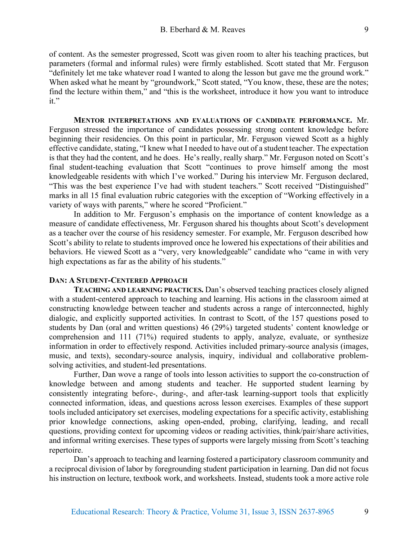of content. As the semester progressed, Scott was given room to alter his teaching practices, but parameters (formal and informal rules) were firmly established. Scott stated that Mr. Ferguson "definitely let me take whatever road I wanted to along the lesson but gave me the ground work." When asked what he meant by "groundwork," Scott stated, "You know, these, these are the notes; find the lecture within them," and "this is the worksheet, introduce it how you want to introduce it."

**MENTOR INTERPRETATIONS AND EVALUATIONS OF CANDIDATE PERFORMANCE.** Mr. Ferguson stressed the importance of candidates possessing strong content knowledge before beginning their residencies. On this point in particular, Mr. Ferguson viewed Scott as a highly effective candidate, stating, "I knew what I needed to have out of a student teacher. The expectation is that they had the content, and he does. He's really, really sharp." Mr. Ferguson noted on Scott's final student-teaching evaluation that Scott "continues to prove himself among the most knowledgeable residents with which I've worked." During his interview Mr. Ferguson declared, "This was the best experience I've had with student teachers." Scott received "Distinguished" marks in all 15 final evaluation rubric categories with the exception of "Working effectively in a variety of ways with parents," where he scored "Proficient."

In addition to Mr. Ferguson's emphasis on the importance of content knowledge as a measure of candidate effectiveness, Mr. Ferguson shared his thoughts about Scott's development as a teacher over the course of his residency semester. For example, Mr. Ferguson described how Scott's ability to relate to students improved once he lowered his expectations of their abilities and behaviors. He viewed Scott as a "very, very knowledgeable" candidate who "came in with very high expectations as far as the ability of his students."

## **DAN: A STUDENT-CENTERED APPROACH**

**TEACHING AND LEARNING PRACTICES.** Dan's observed teaching practices closely aligned with a student-centered approach to teaching and learning. His actions in the classroom aimed at constructing knowledge between teacher and students across a range of interconnected, highly dialogic, and explicitly supported activities. In contrast to Scott, of the 157 questions posed to students by Dan (oral and written questions) 46 (29%) targeted students' content knowledge or comprehension and 111 (71%) required students to apply, analyze, evaluate, or synthesize information in order to effectively respond. Activities included primary-source analysis (images, music, and texts), secondary-source analysis, inquiry, individual and collaborative problemsolving activities, and student-led presentations.

Further, Dan wove a range of tools into lesson activities to support the co-construction of knowledge between and among students and teacher. He supported student learning by consistently integrating before-, during-, and after-task learning-support tools that explicitly connected information, ideas, and questions across lesson exercises. Examples of these support tools included anticipatory set exercises, modeling expectations for a specific activity, establishing prior knowledge connections, asking open-ended, probing, clarifying, leading, and recall questions, providing context for upcoming videos or reading activities, think/pair/share activities, and informal writing exercises. These types of supports were largely missing from Scott's teaching repertoire.

Dan's approach to teaching and learning fostered a participatory classroom community and a reciprocal division of labor by foregrounding student participation in learning. Dan did not focus his instruction on lecture, textbook work, and worksheets. Instead, students took a more active role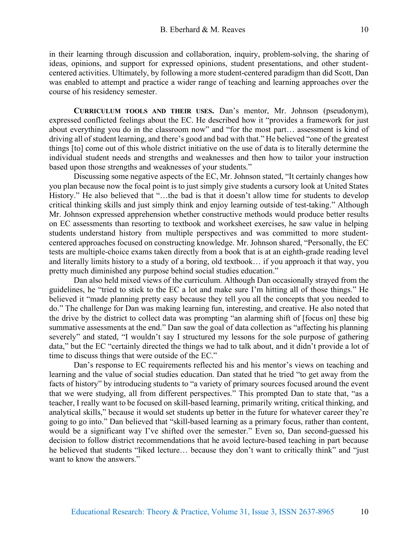in their learning through discussion and collaboration, inquiry, problem-solving, the sharing of ideas, opinions, and support for expressed opinions, student presentations, and other studentcentered activities. Ultimately, by following a more student-centered paradigm than did Scott, Dan was enabled to attempt and practice a wider range of teaching and learning approaches over the course of his residency semester.

**CURRICULUM TOOLS AND THEIR USES.** Dan's mentor, Mr. Johnson (pseudonym), expressed conflicted feelings about the EC. He described how it "provides a framework for just about everything you do in the classroom now" and "for the most part… assessment is kind of driving all of student learning, and there's good and bad with that." He believed "one of the greatest things [to] come out of this whole district initiative on the use of data is to literally determine the individual student needs and strengths and weaknesses and then how to tailor your instruction based upon those strengths and weaknesses of your students."

Discussing some negative aspects of the EC, Mr. Johnson stated, "It certainly changes how you plan because now the focal point is to just simply give students a cursory look at United States History." He also believed that "...the bad is that it doesn't allow time for students to develop critical thinking skills and just simply think and enjoy learning outside of test-taking." Although Mr. Johnson expressed apprehension whether constructive methods would produce better results on EC assessments than resorting to textbook and worksheet exercises, he saw value in helping students understand history from multiple perspectives and was committed to more studentcentered approaches focused on constructing knowledge. Mr. Johnson shared, "Personally, the EC tests are multiple-choice exams taken directly from a book that is at an eighth-grade reading level and literally limits history to a study of a boring, old textbook… if you approach it that way, you pretty much diminished any purpose behind social studies education."

Dan also held mixed views of the curriculum. Although Dan occasionally strayed from the guidelines, he "tried to stick to the EC a lot and make sure I'm hitting all of those things." He believed it "made planning pretty easy because they tell you all the concepts that you needed to do." The challenge for Dan was making learning fun, interesting, and creative. He also noted that the drive by the district to collect data was prompting "an alarming shift of [focus on] these big summative assessments at the end." Dan saw the goal of data collection as "affecting his planning severely" and stated, "I wouldn't say I structured my lessons for the sole purpose of gathering data," but the EC "certainly directed the things we had to talk about, and it didn't provide a lot of time to discuss things that were outside of the EC."

Dan's response to EC requirements reflected his and his mentor's views on teaching and learning and the value of social studies education. Dan stated that he tried "to get away from the facts of history" by introducing students to "a variety of primary sources focused around the event that we were studying, all from different perspectives." This prompted Dan to state that, "as a teacher, I really want to be focused on skill-based learning, primarily writing, critical thinking, and analytical skills," because it would set students up better in the future for whatever career they're going to go into." Dan believed that "skill-based learning as a primary focus, rather than content, would be a significant way I've shifted over the semester." Even so, Dan second-guessed his decision to follow district recommendations that he avoid lecture-based teaching in part because he believed that students "liked lecture… because they don't want to critically think" and "just want to know the answers."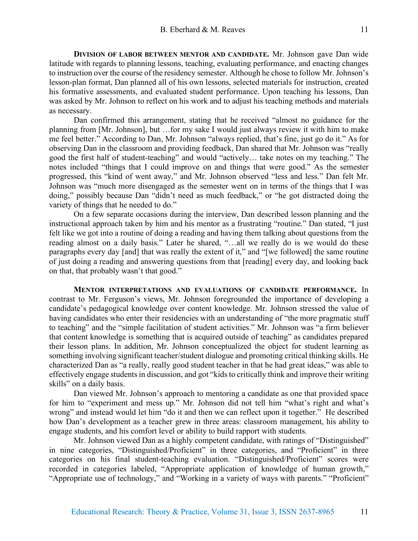**DIVISION OF LABOR BETWEEN MENTOR AND CANDIDATE.** Mr. Johnson gave Dan wide latitude with regards to planning lessons, teaching, evaluating performance, and enacting changes to instruction over the course of the residency semester. Although he chose to follow Mr. Johnson's lesson-plan format, Dan planned all of his own lessons, selected materials for instruction, created his formative assessments, and evaluated student performance. Upon teaching his lessons, Dan was asked by Mr. Johnson to reflect on his work and to adjust his teaching methods and materials as necessary.

Dan confirmed this arrangement, stating that he received "almost no guidance for the planning from [Mr. Johnson], but …for my sake I would just always review it with him to make me feel better." According to Dan, Mr. Johnson "always replied, that's fine, just go do it." As for observing Dan in the classroom and providing feedback, Dan shared that Mr. Johnson was "really good the first half of student-teaching" and would "actively… take notes on my teaching." The notes included "things that I could improve on and things that were good." As the semester progressed, this "kind of went away," and Mr. Johnson observed "less and less." Dan felt Mr. Johnson was "much more disengaged as the semester went on in terms of the things that I was doing," possibly because Dan "didn't need as much feedback," or "he got distracted doing the variety of things that he needed to do."

On a few separate occasions during the interview, Dan described lesson planning and the instructional approach taken by him and his mentor as a frustrating "routine." Dan stated, "I just felt like we got into a routine of doing a reading and having them talking about questions from the reading almost on a daily basis." Later he shared, "…all we really do is we would do these paragraphs every day [and] that was really the extent of it," and "[we followed] the same routine of just doing a reading and answering questions from that [reading] every day, and looking back on that, that probably wasn't that good."

**MENTOR INTERPRETATIONS AND EVALUATIONS OF CANDIDATE PERFORMANCE.** In contrast to Mr. Ferguson's views, Mr. Johnson foregrounded the importance of developing a candidate's pedagogical knowledge over content knowledge. Mr. Johnson stressed the value of having candidates who enter their residencies with an understanding of "the more pragmatic stuff to teaching" and the "simple facilitation of student activities." Mr. Johnson was "a firm believer that content knowledge is something that is acquired outside of teaching" as candidates prepared their lesson plans. In addition, Mr. Johnson conceptualized the object for student learning as something involving significant teacher/student dialogue and promoting critical thinking skills. He characterized Dan as "a really, really good student teacher in that he had great ideas," was able to effectively engage students in discussion, and got "kids to critically think and improve their writing skills" on a daily basis.

Dan viewed Mr. Johnson's approach to mentoring a candidate as one that provided space for him to "experiment and mess up." Mr. Johnson did not tell him "what's right and what's wrong" and instead would let him "do it and then we can reflect upon it together." He described how Dan's development as a teacher grew in three areas: classroom management, his ability to engage students, and his comfort level or ability to build rapport with students.

Mr. Johnson viewed Dan as a highly competent candidate, with ratings of "Distinguished" in nine categories, "Distinguished/Proficient" in three categories, and "Proficient" in three categories on his final student-teaching evaluation. "Distinguished/Proficient" scores were recorded in categories labeled, "Appropriate application of knowledge of human growth," "Appropriate use of technology," and "Working in a variety of ways with parents." "Proficient"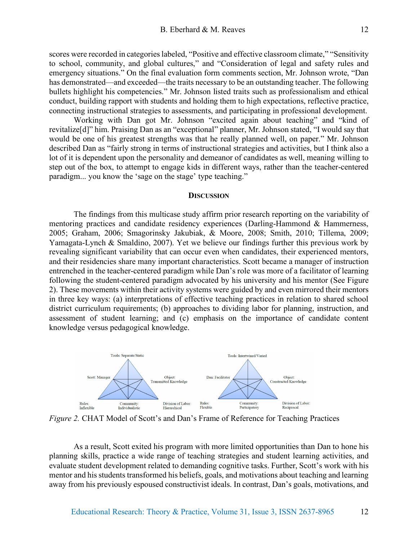scores were recorded in categories labeled, "Positive and effective classroom climate," "Sensitivity to school, community, and global cultures," and "Consideration of legal and safety rules and emergency situations." On the final evaluation form comments section, Mr. Johnson wrote, "Dan has demonstrated—and exceeded—the traits necessary to be an outstanding teacher. The following bullets highlight his competencies." Mr. Johnson listed traits such as professionalism and ethical conduct, building rapport with students and holding them to high expectations, reflective practice, connecting instructional strategies to assessments, and participating in professional development.

Working with Dan got Mr. Johnson "excited again about teaching" and "kind of revitalize[d]" him. Praising Dan as an "exceptional" planner, Mr. Johnson stated, "I would say that would be one of his greatest strengths was that he really planned well, on paper." Mr. Johnson described Dan as "fairly strong in terms of instructional strategies and activities, but I think also a lot of it is dependent upon the personality and demeanor of candidates as well, meaning willing to step out of the box, to attempt to engage kids in different ways, rather than the teacher-centered paradigm... you know the 'sage on the stage' type teaching."

## **DISCUSSION**

The findings from this multicase study affirm prior research reporting on the variability of mentoring practices and candidate residency experiences (Darling-Hammond & Hammerness, 2005; Graham, 2006; Smagorinsky Jakubiak, & Moore, 2008; Smith, 2010; Tillema, 2009; Yamagata-Lynch & Smaldino, 2007). Yet we believe our findings further this previous work by revealing significant variability that can occur even when candidates, their experienced mentors, and their residencies share many important characteristics. Scott became a manager of instruction entrenched in the teacher-centered paradigm while Dan's role was more of a facilitator of learning following the student-centered paradigm advocated by his university and his mentor (See Figure 2). These movements within their activity systems were guided by and even mirrored their mentors in three key ways: (a) interpretations of effective teaching practices in relation to shared school district curriculum requirements; (b) approaches to dividing labor for planning, instruction, and assessment of student learning; and (c) emphasis on the importance of candidate content knowledge versus pedagogical knowledge.



*Figure 2.* CHAT Model of Scott's and Dan's Frame of Reference for Teaching Practices

As a result, Scott exited his program with more limited opportunities than Dan to hone his planning skills, practice a wide range of teaching strategies and student learning activities, and evaluate student development related to demanding cognitive tasks. Further, Scott's work with his mentor and his students transformed his beliefs, goals, and motivations about teaching and learning away from his previously espoused constructivist ideals. In contrast, Dan's goals, motivations, and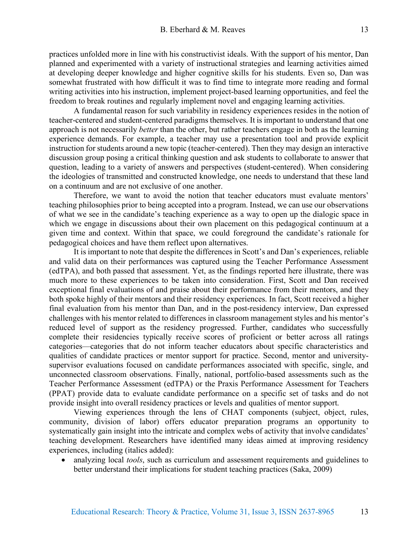practices unfolded more in line with his constructivist ideals. With the support of his mentor, Dan planned and experimented with a variety of instructional strategies and learning activities aimed at developing deeper knowledge and higher cognitive skills for his students. Even so, Dan was somewhat frustrated with how difficult it was to find time to integrate more reading and formal writing activities into his instruction, implement project-based learning opportunities, and feel the freedom to break routines and regularly implement novel and engaging learning activities.

A fundamental reason for such variability in residency experiences resides in the notion of teacher-centered and student-centered paradigms themselves. It is important to understand that one approach is not necessarily *better* than the other, but rather teachers engage in both as the learning experience demands. For example, a teacher may use a presentation tool and provide explicit instruction for students around a new topic (teacher-centered). Then they may design an interactive discussion group posing a critical thinking question and ask students to collaborate to answer that question, leading to a variety of answers and perspectives (student-centered). When considering the ideologies of transmitted and constructed knowledge, one needs to understand that these land on a continuum and are not exclusive of one another.

Therefore, we want to avoid the notion that teacher educators must evaluate mentors' teaching philosophies prior to being accepted into a program. Instead, we can use our observations of what we see in the candidate's teaching experience as a way to open up the dialogic space in which we engage in discussions about their own placement on this pedagogical continuum at a given time and context. Within that space, we could foreground the candidate's rationale for pedagogical choices and have them reflect upon alternatives.

It is important to note that despite the differences in Scott's and Dan's experiences, reliable and valid data on their performances was captured using the Teacher Performance Assessment (edTPA), and both passed that assessment. Yet, as the findings reported here illustrate, there was much more to these experiences to be taken into consideration. First, Scott and Dan received exceptional final evaluations of and praise about their performance from their mentors, and they both spoke highly of their mentors and their residency experiences. In fact, Scott received a higher final evaluation from his mentor than Dan, and in the post-residency interview, Dan expressed challenges with his mentor related to differences in classroom management styles and his mentor's reduced level of support as the residency progressed. Further, candidates who successfully complete their residencies typically receive scores of proficient or better across all ratings categories—categories that do not inform teacher educators about specific characteristics and qualities of candidate practices or mentor support for practice. Second, mentor and universitysupervisor evaluations focused on candidate performances associated with specific, single, and unconnected classroom observations. Finally, national, portfolio-based assessments such as the Teacher Performance Assessment (edTPA) or the Praxis Performance Assessment for Teachers (PPAT) provide data to evaluate candidate performance on a specific set of tasks and do not provide insight into overall residency practices or levels and qualities of mentor support.

Viewing experiences through the lens of CHAT components (subject, object, rules, community, division of labor) offers educator preparation programs an opportunity to systematically gain insight into the intricate and complex webs of activity that involve candidates' teaching development. Researchers have identified many ideas aimed at improving residency experiences, including (italics added):

• analyzing local *tools*, such as curriculum and assessment requirements and guidelines to better understand their implications for student teaching practices (Saka, 2009)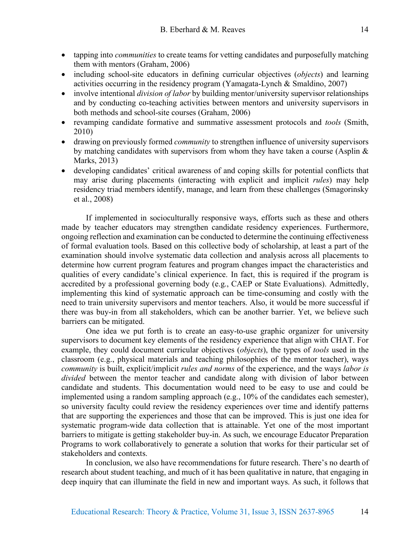- tapping into *communities* to create teams for vetting candidates and purposefully matching them with mentors (Graham, 2006)
- including school-site educators in defining curricular objectives (*objects*) and learning activities occurring in the residency program (Yamagata-Lynch  $& Smallino, 2007$ )
- involve intentional *division of labor* by building mentor/university supervisor relationships and by conducting co-teaching activities between mentors and university supervisors in both methods and school-site courses (Graham, 2006)
- revamping candidate formative and summative assessment protocols and *tools* (Smith, 2010)
- drawing on previously formed *community* to strengthen influence of university supervisors by matching candidates with supervisors from whom they have taken a course (Asplin & Marks, 2013)
- developing candidates' critical awareness of and coping skills for potential conflicts that may arise during placements (interacting with explicit and implicit *rules*) may help residency triad members identify, manage, and learn from these challenges (Smagorinsky et al., 2008)

If implemented in socioculturally responsive ways, efforts such as these and others made by teacher educators may strengthen candidate residency experiences. Furthermore, ongoing reflection and examination can be conducted to determine the continuing effectiveness of formal evaluation tools. Based on this collective body of scholarship, at least a part of the examination should involve systematic data collection and analysis across all placements to determine how current program features and program changes impact the characteristics and qualities of every candidate's clinical experience. In fact, this is required if the program is accredited by a professional governing body (e.g., CAEP or State Evaluations). Admittedly, implementing this kind of systematic approach can be time-consuming and costly with the need to train university supervisors and mentor teachers. Also, it would be more successful if there was buy-in from all stakeholders, which can be another barrier. Yet, we believe such barriers can be mitigated.

One idea we put forth is to create an easy-to-use graphic organizer for university supervisors to document key elements of the residency experience that align with CHAT. For example, they could document curricular objectives (*objects*), the types of *tools* used in the classroom (e.g., physical materials and teaching philosophies of the mentor teacher), ways *community* is built, explicit/implicit *rules and norms* of the experience, and the ways *labor is divided* between the mentor teacher and candidate along with division of labor between candidate and students. This documentation would need to be easy to use and could be implemented using a random sampling approach (e.g., 10% of the candidates each semester), so university faculty could review the residency experiences over time and identify patterns that are supporting the experiences and those that can be improved. This is just one idea for systematic program-wide data collection that is attainable. Yet one of the most important barriers to mitigate is getting stakeholder buy-in. As such, we encourage Educator Preparation Programs to work collaboratively to generate a solution that works for their particular set of stakeholders and contexts.

In conclusion, we also have recommendations for future research. There's no dearth of research about student teaching, and much of it has been qualitative in nature, that engaging in deep inquiry that can illuminate the field in new and important ways. As such, it follows that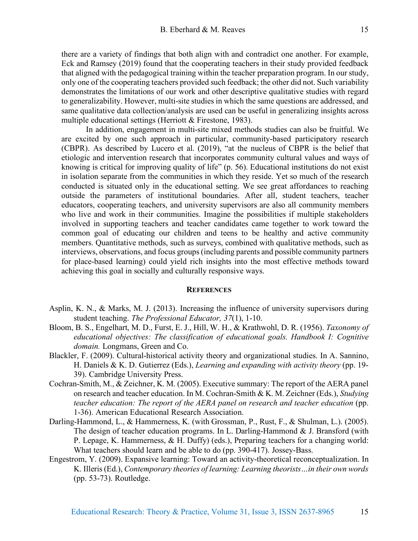15

there are a variety of findings that both align with and contradict one another. For example, Eck and Ramsey (2019) found that the cooperating teachers in their study provided feedback that aligned with the pedagogical training within the teacher preparation program. In our study, only one of the cooperating teachers provided such feedback; the other did not. Such variability demonstrates the limitations of our work and other descriptive qualitative studies with regard to generalizability. However, multi-site studies in which the same questions are addressed, and same qualitative data collection/analysis are used can be useful in generalizing insights across multiple educational settings (Herriott & Firestone, 1983).

In addition, engagement in multi-site mixed methods studies can also be fruitful. We are excited by one such approach in particular, community-based participatory research (CBPR). As described by Lucero et al. (2019), "at the nucleus of CBPR is the belief that etiologic and intervention research that incorporates community cultural values and ways of knowing is critical for improving quality of life" (p. 56). Educational institutions do not exist in isolation separate from the communities in which they reside. Yet so much of the research conducted is situated only in the educational setting. We see great affordances to reaching outside the parameters of institutional boundaries. After all, student teachers, teacher educators, cooperating teachers, and university supervisors are also all community members who live and work in their communities. Imagine the possibilities if multiple stakeholders involved in supporting teachers and teacher candidates came together to work toward the common goal of educating our children and teens to be healthy and active community members. Quantitative methods, such as surveys, combined with qualitative methods, such as interviews, observations, and focus groups (including parents and possible community partners for place-based learning) could yield rich insights into the most effective methods toward achieving this goal in socially and culturally responsive ways.

#### **REFERENCES**

- Asplin, K. N., & Marks, M. J. (2013). Increasing the influence of university supervisors during student teaching. *The Professional Educator, 37*(1), 1-10.
- Bloom, B. S., Engelhart, M. D., Furst, E. J., Hill, W. H., & Krathwohl, D. R. (1956). *Taxonomy of educational objectives: The classification of educational goals. Handbook I: Cognitive domain.* Longmans, Green and Co.
- Blackler, F. (2009). Cultural-historical activity theory and organizational studies. In A. Sannino, H. Daniels & K. D. Gutierrez (Eds.), *Learning and expanding with activity theory* (pp. 19- 39). Cambridge University Press.
- Cochran-Smith, M., & Zeichner, K. M. (2005). Executive summary: The report of the AERA panel on research and teacher education. In M. Cochran-Smith & K. M. Zeichner (Eds.), *Studying teacher education: The report of the AERA panel on research and teacher education* (pp. 1-36). American Educational Research Association.
- Darling-Hammond, L., & Hammerness, K. (with Grossman, P., Rust, F., & Shulman, L.). (2005). The design of teacher education programs. In L. Darling-Hammond & J. Bransford (with P. Lepage, K. Hammerness, & H. Duffy) (eds.), Preparing teachers for a changing world: What teachers should learn and be able to do (pp. 390-417). Jossey-Bass.
- Engestrom, Y. (2009). Expansive learning: Toward an activity-theoretical reconceptualization. In K. Illeris (Ed.), *Contemporary theories of learning: Learning theorists…in their own words* (pp. 53-73). Routledge.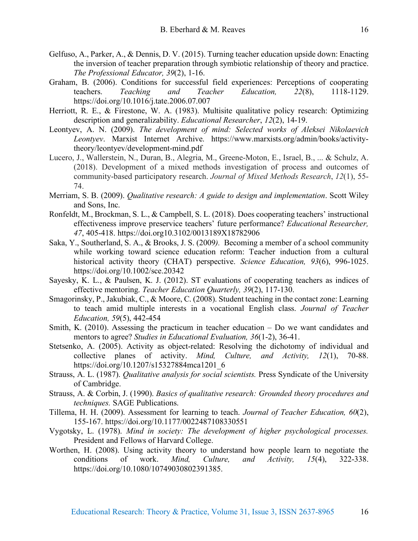- Gelfuso, A., Parker, A., & Dennis, D. V. (2015). Turning teacher education upside down: Enacting the inversion of teacher preparation through symbiotic relationship of theory and practice. *The Professional Educator, 39*(2), 1-16.
- Graham, B. (2006). Conditions for successful field experiences: Perceptions of cooperating teachers. *Teaching and Teacher Education, 22*(8), 1118-1129. https://doi.org/10.1016/j.tate.2006.07.007
- Herriott, R. E., & Firestone, W. A. (1983). Multisite qualitative policy research: Optimizing description and generalizability. *Educational Researcher*, *12*(2), 14-19.
- Leontyev, A. N. (2009). *The development of mind: Selected works of Aleksei Nikolaevich Leontyev*. Marxist Internet Archive. https://www.marxists.org/admin/books/activitytheory/leontyev/development-mind.pdf
- Lucero, J., Wallerstein, N., Duran, B., Alegria, M., Greene-Moton, E., Israel, B., ... & Schulz, A. (2018). Development of a mixed methods investigation of process and outcomes of community-based participatory research. *Journal of Mixed Methods Research*, *12*(1), 55- 74.
- Merriam, S. B. (2009). *Qualitative research: A guide to design and implementation*. Scott Wiley and Sons, Inc.
- Ronfeldt, M., Brockman, S. L., & Campbell, S. L. (2018). Does cooperating teachers' instructional effectiveness improve preservice teachers' future performance? *Educational Researcher, 47*, 405-418. https://doi.org10.3102/0013189X18782906
- Saka, Y., Southerland, S. A., & Brooks, J. S. (2009*).* Becoming a member of a school community while working toward science education reform: Teacher induction from a cultural historical activity theory (CHAT) perspective. *Science Education, 93*(6), 996-1025. https://doi.org/10.1002/sce.20342
- Sayesky, K. L., & Paulsen, K. J. (2012). ST evaluations of cooperating teachers as indices of effective mentoring. *Teacher Education Quarterly, 39*(2), 117-130.
- Smagorinsky, P., Jakubiak, C., & Moore, C. (2008). Student teaching in the contact zone: Learning to teach amid multiple interests in a vocational English class. *Journal of Teacher Education, 59*(5), 442-454
- Smith, K. (2010). Assessing the practicum in teacher education Do we want candidates and mentors to agree? *Studies in Educational Evaluation, 36*(1-2), 36-41.
- Stetsenko, A. (2005). Activity as object-related: Resolving the dichotomy of individual and collective planes of activity. *Mind, Culture, and Activity, 12*(1), 70-88. https://doi.org/10.1207/s15327884mca1201\_6
- Strauss, A. L. (1987). *Qualitative analysis for social scientists.* Press Syndicate of the University of Cambridge.
- Strauss, A. & Corbin, J. (1990). *Basics of qualitative research: Grounded theory procedures and techniques.* SAGE Publications.
- Tillema, H. H. (2009). Assessment for learning to teach. *Journal of Teacher Education, 60*(2), 155-167. https://doi.org/10.1177/0022487108330551
- Vygotsky, L. (1978). *Mind in society: The development of higher psychological processes.* President and Fellows of Harvard College.
- Worthen, H. (2008). Using activity theory to understand how people learn to negotiate the conditions of work. *Mind, Culture, and Activity, 15*(4), 322-338. https://doi.org/10.1080/10749030802391385.